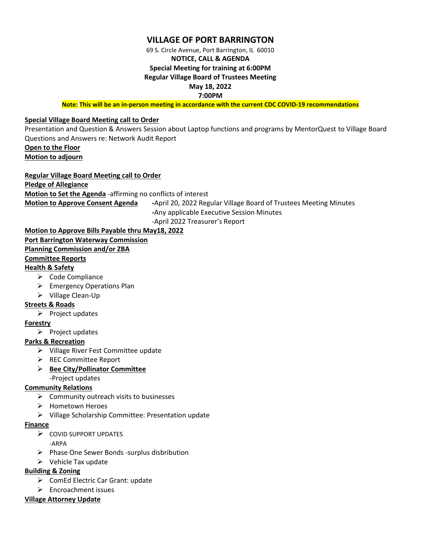## **VILLAGE OF PORT BARRINGTON**

69 S. Circle Avenue, Port Barrington, IL 60010

# **NOTICE, CALL & AGENDA**

# **Special Meeting for training at 6:00PM**

**Regular Village Board of Trustees Meeting**

**May 18, 2022**

**7:00PM** 

**Note: This will be an in-person meeting in accordance with the current CDC COVID-19 recommendations**

## **Special Village Board Meeting call to Order**

Presentation and Question & Answers Session about Laptop functions and programs by MentorQuest to Village Board Questions and Answers re: Network Audit Report

**Open to the Floor Motion to adjourn**

## **Regular Village Board Meeting call to Order**

#### **Pledge of Allegiance**

**Motion to Set the Agenda** -affirming no conflicts of interest

**Motion to Approve Consent Agenda -**April 20, 2022 Regular Village Board of Trustees Meeting Minutes

**-**Any applicable Executive Session Minutes

-April 2022 Treasurer's Report

## **Motion to Approve Bills Payable thru May18, 2022**

**Port Barrington Waterway Commission**

## **Planning Commission and/or ZBA**

## **Committee Reports**

## **Health & Safety**

- ➢ Code Compliance
- $\triangleright$  Emergency Operations Plan
- ➢ Village Clean-Up

## **Streets & Roads**

➢ Project updates

## **Forestry**

➢ Project updates

## **Parks & Recreation**

- ➢ Village River Fest Committee update
- ➢ REC Committee Report
- ➢ **Bee City/Pollinator Committee** -Project updates

## **Community Relations**

- $\triangleright$  Community outreach visits to businesses
- ➢ Hometown Heroes
- ➢ Village Scholarship Committee: Presentation update

#### **Finance**

- ➢ COVID SUPPORT UPDATES
	- -ARPA
- ➢ Phase One Sewer Bonds -surplus disbribution
- ➢ Vehicle Tax update

## **Building & Zoning**

- ➢ ComEd Electric Car Grant: update
- ➢ Encroachment issues

#### **Village Attorney Update**